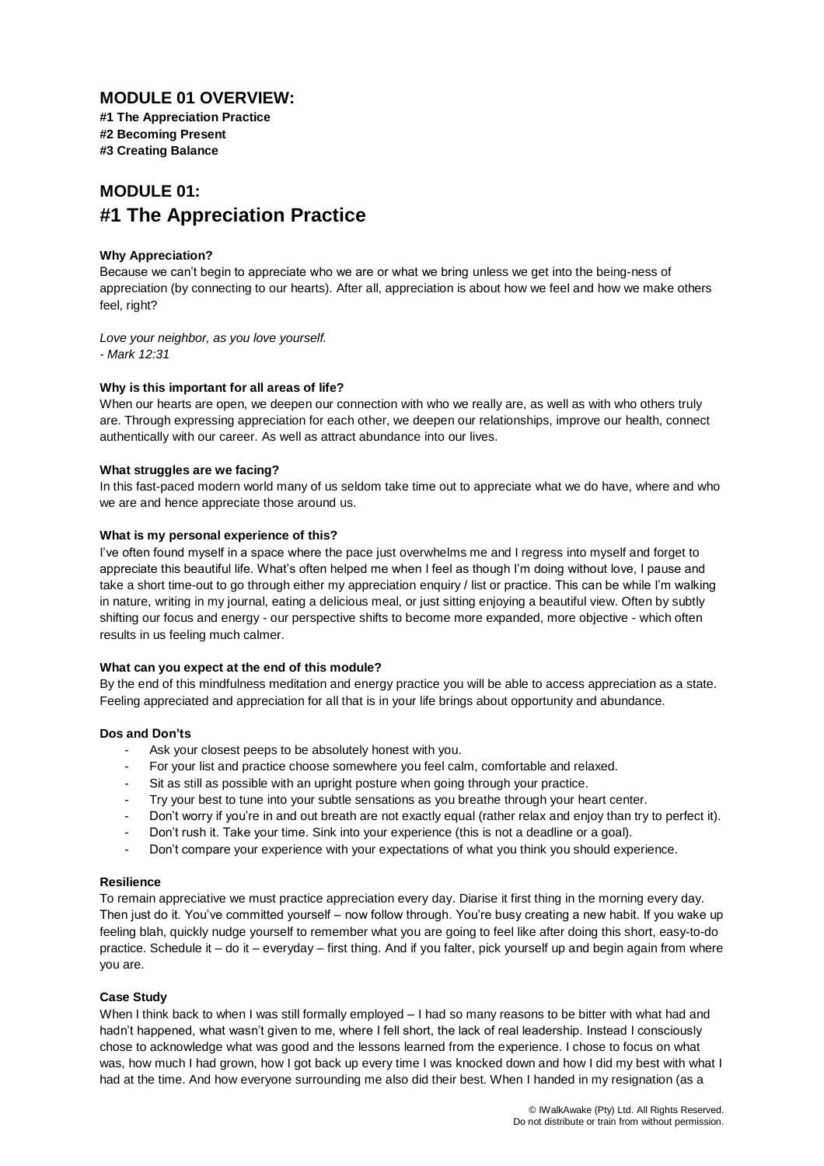### **MODULE 01 OVERVIEW:**

**#1 The Appreciation Practice #2 Becoming Present #3 Creating Balance**

## **MODULE 01: #1 The Appreciation Practice**

#### **Why Appreciation?**

Because we can't begin to appreciate who we are or what we bring unless we get into the being-ness of appreciation (by connecting to our hearts). After all, appreciation is about how we feel and how we make others feel, right?

*Love your neighbor, as you love yourself. - Mark 12:31*

#### **Why is this important for all areas of life?**

When our hearts are open, we deepen our connection with who we really are, as well as with who others truly are. Through expressing appreciation for each other, we deepen our relationships, improve our health, connect authentically with our career. As well as attract abundance into our lives.

#### **What struggles are we facing?**

In this fast-paced modern world many of us seldom take time out to appreciate what we do have, where and who we are and hence appreciate those around us.

#### **What is my personal experience of this?**

I've often found myself in a space where the pace just overwhelms me and I regress into myself and forget to appreciate this beautiful life. What's often helped me when I feel as though I'm doing without love, I pause and take a short time-out to go through either my appreciation enquiry / list or practice. This can be while I'm walking in nature, writing in my journal, eating a delicious meal, or just sitting enjoying a beautiful view. Often by subtly shifting our focus and energy - our perspective shifts to become more expanded, more objective - which often results in us feeling much calmer.

#### **What can you expect at the end of this module?**

By the end of this mindfulness meditation and energy practice you will be able to access appreciation as a state. Feeling appreciated and appreciation for all that is in your life brings about opportunity and abundance.

#### **Dos and Don'ts**

- Ask your closest peeps to be absolutely honest with you.
- For your list and practice choose somewhere you feel calm, comfortable and relaxed.
- Sit as still as possible with an upright posture when going through your practice.
- Try your best to tune into your subtle sensations as you breathe through your heart center.
- Don't worry if you're in and out breath are not exactly equal (rather relax and enjoy than try to perfect it).
- Don't rush it. Take your time. Sink into your experience (this is not a deadline or a goal).
- Don't compare your experience with your expectations of what you think you should experience.

#### **Resilience**

To remain appreciative we must practice appreciation every day. Diarise it first thing in the morning every day. Then just do it. You've committed yourself – now follow through. You're busy creating a new habit. If you wake up feeling blah, quickly nudge yourself to remember what you are going to feel like after doing this short, easy-to-do practice. Schedule it – do it – everyday – first thing. And if you falter, pick yourself up and begin again from where you are.

#### **Case Study**

When I think back to when I was still formally employed – I had so many reasons to be bitter with what had and hadn't happened, what wasn't given to me, where I fell short, the lack of real leadership. Instead I consciously chose to acknowledge what was good and the lessons learned from the experience. I chose to focus on what was, how much I had grown, how I got back up every time I was knocked down and how I did my best with what I had at the time. And how everyone surrounding me also did their best. When I handed in my resignation (as a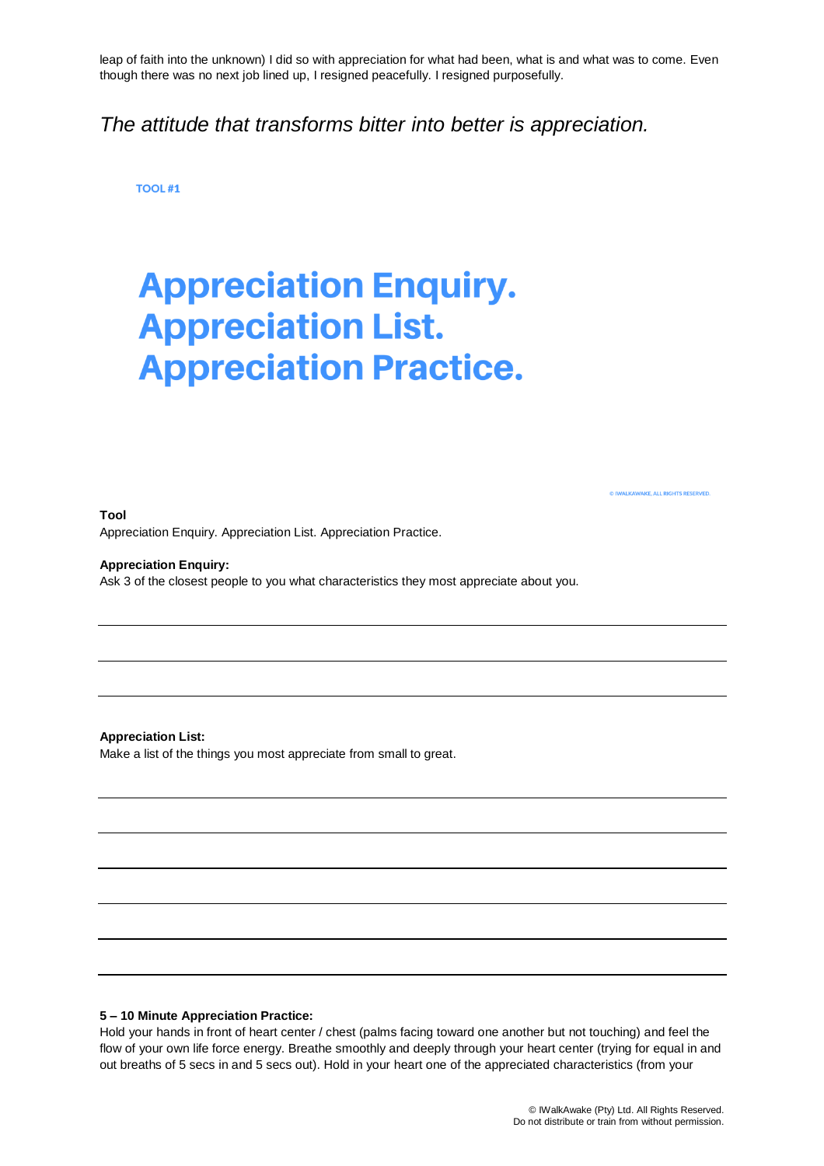leap of faith into the unknown) I did so with appreciation for what had been, what is and what was to come. Even though there was no next job lined up, I resigned peacefully. I resigned purposefully.

## *The attitude that transforms bitter into better is appreciation.*

**TOOL #1** 

# **Appreciation Enquiry. Appreciation List. Appreciation Practice.**

**Tool**

**WAKE, ALL RIGHTS RESERVED** 

Appreciation Enquiry. Appreciation List. Appreciation Practice.

**Appreciation Enquiry:**

Ask 3 of the closest people to you what characteristics they most appreciate about you.

**Appreciation List:**

Make a list of the things you most appreciate from small to great.

#### **5 – 10 Minute Appreciation Practice:**

Hold your hands in front of heart center / chest (palms facing toward one another but not touching) and feel the flow of your own life force energy. Breathe smoothly and deeply through your heart center (trying for equal in and out breaths of 5 secs in and 5 secs out). Hold in your heart one of the appreciated characteristics (from your